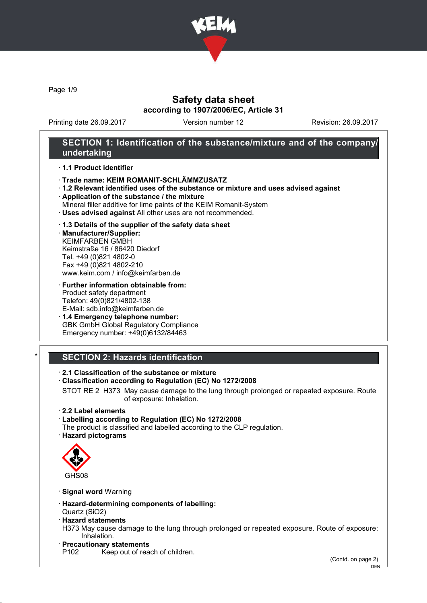

Page 1/9

# Safety data sheet according to 1907/2006/EC, Article 31

Printing date 26.09.2017 Version number 12 Revision: 26.09.2017

# SECTION 1: Identification of the substance/mixture and of the company/ undertaking

### · 1.1 Product identifier

- · Trade name: KEIM ROMANIT-SCHLÄMMZUSATZ
- · 1.2 Relevant identified uses of the substance or mixture and uses advised against
- · Application of the substance / the mixture
- Mineral filler additive for lime paints of the KEIM Romanit-System
- · Uses advised against All other uses are not recommended.

### · 1.3 Details of the supplier of the safety data sheet

· Manufacturer/Supplier: KEIMFARBEN GMBH Keimstraße 16 / 86420 Diedorf Tel. +49 (0)821 4802-0 Fax +49 (0)821 4802-210 www.keim.com / info@keimfarben.de

· Further information obtainable from: Product safety department Telefon: 49(0)821/4802-138 E-Mail: sdb.info@keimfarben.de

· 1.4 Emergency telephone number: GBK GmbH Global Regulatory Compliance Emergency number: +49(0)6132/84463

# **SECTION 2: Hazards identification**

### · 2.1 Classification of the substance or mixture

## · Classification according to Regulation (EC) No 1272/2008

STOT RE 2 H373 May cause damage to the lung through prolonged or repeated exposure. Route of exposure: Inhalation.

## · 2.2 Label elements

- · Labelling according to Regulation (EC) No 1272/2008
- The product is classified and labelled according to the CLP regulation.
- · Hazard pictograms



· Signal word Warning

- · Hazard-determining components of labelling:
- Quartz (SiO2)
- · Hazard statements
- H373 May cause damage to the lung through prolonged or repeated exposure. Route of exposure: Inhalation.
- · Precautionary statements<br>P102 Keep out of rea
	- Keep out of reach of children.

(Contd. on page 2)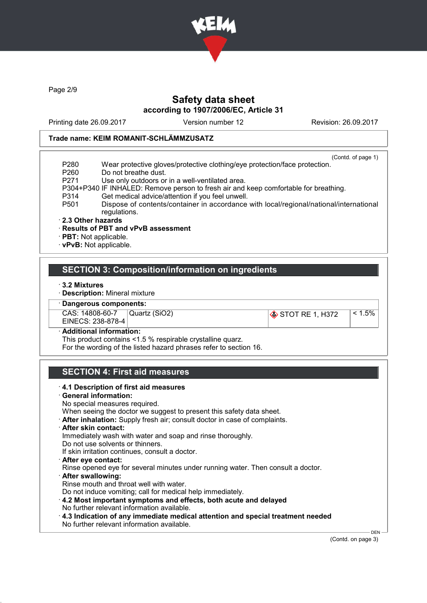

Page 2/9

# Safety data sheet according to 1907/2006/EC, Article 31

Printing date 26.09.2017 Version number 12 Revision: 26.09.2017

### Trade name: KEIM ROMANIT-SCHLÄMMZUSATZ

|                   | (Contd. of page 1)                                                                                     |
|-------------------|--------------------------------------------------------------------------------------------------------|
| P <sub>280</sub>  | Wear protective gloves/protective clothing/eye protection/face protection.                             |
| P <sub>260</sub>  | Do not breathe dust.                                                                                   |
| P <sub>271</sub>  | Use only outdoors or in a well-ventilated area.                                                        |
|                   | P304+P340 IF INHALED: Remove person to fresh air and keep comfortable for breathing.                   |
| P314              | Get medical advice/attention if you feel unwell.                                                       |
| P <sub>501</sub>  | Dispose of contents/container in accordance with local/regional/national/international<br>regulations. |
| 2.3 Other hazards |                                                                                                        |
|                   | · Results of PBT and vPvB assessment                                                                   |

· PBT: Not applicable.

· vPvB: Not applicable.

## SECTION 3: Composition/information on ingredients

- · 3.2 Mixtures
- · Description: Mineral mixture

Dangerous components:

CAS: 14808-60-7 EINECS: 238-878-4 Quartz (SiO2) STOT RE 1, H372 (≤ 1.5%)

Additional information:

This product contains <1.5 % respirable crystalline quarz.

For the wording of the listed hazard phrases refer to section 16.

# SECTION 4: First aid measures

· 4.1 Description of first aid measures · General information: No special measures required. When seeing the doctor we suggest to present this safety data sheet. · After inhalation: Supply fresh air; consult doctor in case of complaints. · After skin contact: Immediately wash with water and soap and rinse thoroughly. Do not use solvents or thinners. If skin irritation continues, consult a doctor. · After eye contact: Rinse opened eye for several minutes under running water. Then consult a doctor. · After swallowing: Rinse mouth and throat well with water. Do not induce vomiting; call for medical help immediately. · 4.2 Most important symptoms and effects, both acute and delayed No further relevant information available. · 4.3 Indication of any immediate medical attention and special treatment needed No further relevant information available. DEN

(Contd. on page 3)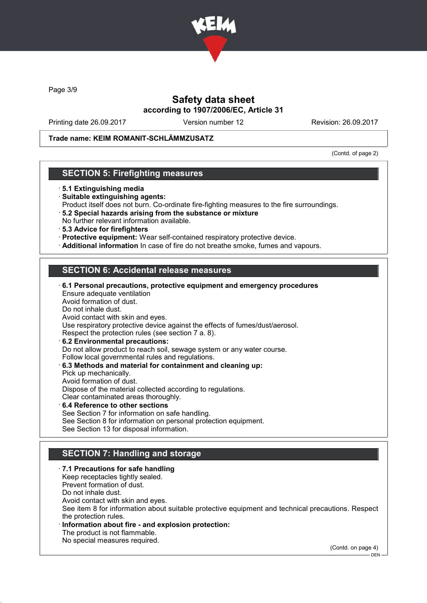

Page 3/9

# Safety data sheet according to 1907/2006/EC, Article 31

Printing date 26.09.2017 Version number 12 Revision: 26.09.2017

## Trade name: KEIM ROMANIT-SCHLÄMMZUSATZ

(Contd. of page 2)

## SECTION 5: Firefighting measures

- · 5.1 Extinguishing media
- · Suitable extinguishing agents:
- Product itself does not burn. Co-ordinate fire-fighting measures to the fire surroundings.
- · 5.2 Special hazards arising from the substance or mixture No further relevant information available.
- · 5.3 Advice for firefighters
- · Protective equipment: Wear self-contained respiratory protective device.
- · Additional information In case of fire do not breathe smoke, fumes and vapours.

# SECTION 6: Accidental release measures

| 6.1 Personal precautions, protective equipment and emergency procedures      |
|------------------------------------------------------------------------------|
| Ensure adequate ventilation                                                  |
| Avoid formation of dust.                                                     |
| Do not inhale dust.                                                          |
| Avoid contact with skin and eyes.                                            |
| Use respiratory protective device against the effects of fumes/dust/aerosol. |
| Respect the protection rules (see section 7 a. 8).                           |
| 6.2 Environmental precautions:                                               |
| Do not allow product to reach soil, sewage system or any water course.       |
| Follow local governmental rules and regulations.                             |
| 6.3 Methods and material for containment and cleaning up:                    |
| Pick up mechanically.                                                        |
| Avoid formation of dust.                                                     |
| Dispose of the material collected according to regulations.                  |
| Clear contaminated areas thoroughly.                                         |
| $\cdot$ 6.4 Reference to other sections                                      |

See Section 7 for information on safe handling. See Section 8 for information on personal protection equipment. See Section 13 for disposal information.

# SECTION 7: Handling and storage

· 7.1 Precautions for safe handling Keep receptacles tightly sealed. Prevent formation of dust. Do not inhale dust. Avoid contact with skin and eyes. See item 8 for information about suitable protective equipment and technical precautions. Respect the protection rules. Information about fire - and explosion protection: The product is not flammable. No special measures required.

(Contd. on page 4)

DEN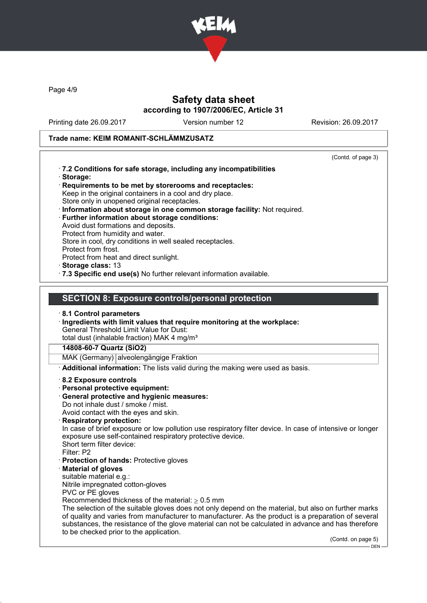

Page 4/9

# Safety data sheet according to 1907/2006/EC, Article 31

Printing date 26.09.2017 Version number 12 Revision: 26.09.2017

# Trade name: KEIM ROMANIT-SCHLÄMMZUSATZ

|                                                                                                          | (Contd. of page 3) |
|----------------------------------------------------------------------------------------------------------|--------------------|
| .7.2 Conditions for safe storage, including any incompatibilities                                        |                    |
| · Storage:<br>Requirements to be met by storerooms and receptacles:                                      |                    |
| Keep in the original containers in a cool and dry place.                                                 |                    |
| Store only in unopened original receptacles.                                                             |                    |
| · Information about storage in one common storage facility: Not required.                                |                    |
| · Further information about storage conditions:<br>Avoid dust formations and deposits.                   |                    |
| Protect from humidity and water.                                                                         |                    |
| Store in cool, dry conditions in well sealed receptacles.                                                |                    |
| Protect from frost.                                                                                      |                    |
| Protect from heat and direct sunlight.<br>Storage class: 13                                              |                    |
| · 7.3 Specific end use(s) No further relevant information available.                                     |                    |
|                                                                                                          |                    |
|                                                                                                          |                    |
| <b>SECTION 8: Exposure controls/personal protection</b>                                                  |                    |
| 8.1 Control parameters                                                                                   |                    |
| · Ingredients with limit values that require monitoring at the workplace:                                |                    |
| <b>General Threshold Limit Value for Dust:</b>                                                           |                    |
| total dust (inhalable fraction) MAK 4 mg/m <sup>3</sup>                                                  |                    |
| 14808-60-7 Quartz (SiO2)                                                                                 |                    |
| MAK (Germany) alveolengängige Fraktion                                                                   |                    |
| Additional information: The lists valid during the making were used as basis.                            |                    |
| 8.2 Exposure controls                                                                                    |                    |
| · Personal protective equipment:                                                                         |                    |
| · General protective and hygienic measures:<br>Do not inhale dust / smoke / mist.                        |                    |
| Avoid contact with the eyes and skin.                                                                    |                    |
| · Respiratory protection:                                                                                |                    |
| In case of brief exposure or low pollution use respiratory filter device. In case of intensive or longer |                    |
| exposure use self-contained respiratory protective device.<br>Short term filter device:                  |                    |
| Filter: P2                                                                                               |                    |
| · Protection of hands: Protective gloves                                                                 |                    |
| <b>Material of gloves</b>                                                                                |                    |
| suitable material e.g.:                                                                                  |                    |
| Nitrile impregnated cotton-gloves                                                                        |                    |
| PVC or PE gloves<br>Recommended thickness of the material: $\geq 0.5$ mm                                 |                    |
| The selection of the suitable gloves does not only depend on the material, but also on further marks     |                    |
| of quality and varies from manufacturer to manufacturer. As the product is a preparation of several      |                    |
| substances, the resistance of the glove material can not be calculated in advance and has therefore      |                    |
| to be checked prior to the application.                                                                  | (Contd. on page 5) |
|                                                                                                          | $DEN -$            |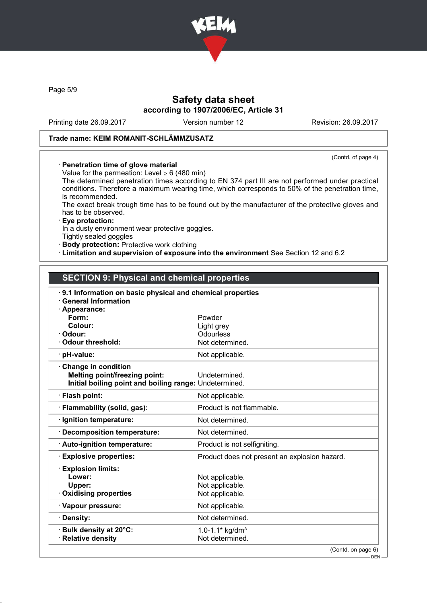

Page 5/9

# Safety data sheet according to 1907/2006/EC, Article 31

Printing date 26.09.2017 Version number 12 Revision: 26.09.2017

# Trade name: KEIM ROMANIT-SCHLÄMMZUSATZ

(Contd. of page 4)

### · Penetration time of glove material

Value for the permeation: Level  $\geq 6$  (480 min)

The determined penetration times according to EN 374 part III are not performed under practical conditions. Therefore a maximum wearing time, which corresponds to 50% of the penetration time, is recommended.

The exact break trough time has to be found out by the manufacturer of the protective gloves and has to be observed.

### · Eye protection:

In a dusty environment wear protective goggles.

Tightly sealed goggles

· Body protection: Protective work clothing

· Limitation and supervision of exposure into the environment See Section 12 and 6.2

# SECTION 9: Physical and chemical properties

| $\cdot$ 9.1 Information on basic physical and chemical properties |                                               |  |  |  |
|-------------------------------------------------------------------|-----------------------------------------------|--|--|--|
| <b>General Information</b>                                        |                                               |  |  |  |
| Appearance:<br>Form:                                              |                                               |  |  |  |
| Colour:                                                           | Powder                                        |  |  |  |
| Odour:                                                            | Light grey<br>Odourless                       |  |  |  |
| <b>Odour threshold:</b>                                           | Not determined.                               |  |  |  |
|                                                                   |                                               |  |  |  |
| · pH-value:                                                       | Not applicable.                               |  |  |  |
| <b>Change in condition</b>                                        |                                               |  |  |  |
| <b>Melting point/freezing point:</b>                              | Undetermined.                                 |  |  |  |
| Initial boiling point and boiling range: Undetermined.            |                                               |  |  |  |
| · Flash point:                                                    | Not applicable.                               |  |  |  |
| · Flammability (solid, gas):                                      | Product is not flammable.                     |  |  |  |
| · Ignition temperature:                                           | Not determined.                               |  |  |  |
| · Decomposition temperature:                                      | Not determined.                               |  |  |  |
| · Auto-ignition temperature:                                      | Product is not selfigniting.                  |  |  |  |
| <b>Explosive properties:</b>                                      | Product does not present an explosion hazard. |  |  |  |
| <b>Explosion limits:</b>                                          |                                               |  |  |  |
| Lower:                                                            | Not applicable.                               |  |  |  |
| Upper:                                                            | Not applicable.                               |  |  |  |
| <b>Oxidising properties</b>                                       | Not applicable.                               |  |  |  |
| · Vapour pressure:                                                | Not applicable.                               |  |  |  |
| · Density:                                                        | Not determined.                               |  |  |  |
| · Bulk density at 20°C:                                           | 1.0-1.1* $kg/dm3$                             |  |  |  |
| · Relative density                                                | Not determined.                               |  |  |  |
|                                                                   | (Contd. on page 6)                            |  |  |  |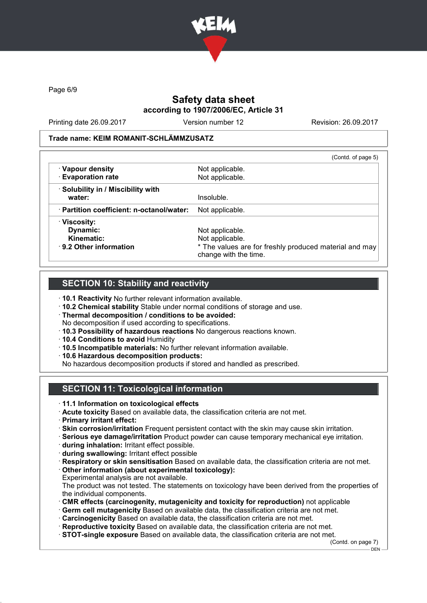

Page 6/9

# Safety data sheet according to 1907/2006/EC, Article 31

Printing date 26.09.2017 Version number 12 Revision: 26.09.2017

### Trade name: KEIM ROMANIT-SCHLÄMMZUSATZ

|                                                 | (Contd. of page 5)                                                              |
|-------------------------------------------------|---------------------------------------------------------------------------------|
| · Vapour density                                | Not applicable.                                                                 |
| · Evaporation rate                              | Not applicable.                                                                 |
| · Solubility in / Miscibility with              |                                                                                 |
| water:                                          | Insoluble.                                                                      |
| $\cdot$ Partition coefficient: n-octanol/water: | Not applicable.                                                                 |
| · Viscosity:                                    |                                                                                 |
| Dynamic:                                        | Not applicable.                                                                 |
| Kinematic:                                      | Not applicable.                                                                 |
| $\cdot$ 9.2 Other information                   | * The values are for freshly produced material and may<br>change with the time. |

## SECTION 10: Stability and reactivity

- · 10.1 Reactivity No further relevant information available.
- · 10.2 Chemical stability Stable under normal conditions of storage and use.
- · Thermal decomposition / conditions to be avoided:
- No decomposition if used according to specifications.
- · 10.3 Possibility of hazardous reactions No dangerous reactions known.
- · 10.4 Conditions to avoid Humidity
- · 10.5 Incompatible materials: No further relevant information available.
- · 10.6 Hazardous decomposition products:

No hazardous decomposition products if stored and handled as prescribed.

# SECTION 11: Toxicological information

- · 11.1 Information on toxicological effects
- · Acute toxicity Based on available data, the classification criteria are not met.
- · Primary irritant effect:
- · Skin corrosion/irritation Frequent persistent contact with the skin may cause skin irritation.
- · Serious eye damage/irritation Product powder can cause temporary mechanical eye irritation.
- · during inhalation: Irritant effect possible.
- · during swallowing: Irritant effect possible
- · Respiratory or skin sensitisation Based on available data, the classification criteria are not met.
- · Other information (about experimental toxicology):
- Experimental analysis are not available. The product was not tested. The statements on toxicology have been derived from the properties of
	- the individual components.
- · CMR effects (carcinogenity, mutagenicity and toxicity for reproduction) not applicable
- · Germ cell mutagenicity Based on available data, the classification criteria are not met. · Carcinogenicity Based on available data, the classification criteria are not met.
- · Reproductive toxicity Based on available data, the classification criteria are not met.
- · STOT-single exposure Based on available data, the classification criteria are not met.

(Contd. on page 7)  $-$  DEN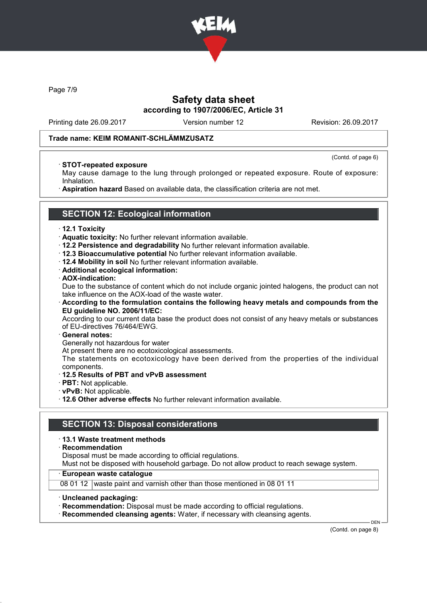

Page 7/9

# Safety data sheet according to 1907/2006/EC, Article 31

Printing date 26.09.2017 Version number 12 Revision: 26.09.2017

(Contd. of page 6)

## Trade name: KEIM ROMANIT-SCHLÄMMZUSATZ

### · STOT-repeated exposure

May cause damage to the lung through prolonged or repeated exposure. Route of exposure: Inhalation.

· Aspiration hazard Based on available data, the classification criteria are not met.

# SECTION 12: Ecological information

#### · 12.1 Toxicity

- · Aquatic toxicity: No further relevant information available.
- · 12.2 Persistence and degradability No further relevant information available.
- · 12.3 Bioaccumulative potential No further relevant information available.
- · 12.4 Mobility in soil No further relevant information available.
- · Additional ecological information:

### · AOX-indication:

Due to the substance of content which do not include organic jointed halogens, the product can not take influence on the AOX-load of the waste water.

· According to the formulation contains the following heavy metals and compounds from the EU guideline NO. 2006/11/EC:

According to our current data base the product does not consist of any heavy metals or substances of EU-directives 76/464/EWG.

#### · General notes:

Generally not hazardous for water

At present there are no ecotoxicological assessments.

The statements on ecotoxicology have been derived from the properties of the individual components.

### · 12.5 Results of PBT and vPvB assessment

- · PBT: Not applicable.
- · vPvB: Not applicable.

· 12.6 Other adverse effects No further relevant information available.

## SECTION 13: Disposal considerations

### · 13.1 Waste treatment methods

· Recommendation

Disposal must be made according to official regulations.

Must not be disposed with household garbage. Do not allow product to reach sewage system.

### · European waste catalogue

08 01 12 waste paint and varnish other than those mentioned in 08 01 11

· Uncleaned packaging:

· Recommendation: Disposal must be made according to official regulations.

· Recommended cleansing agents: Water, if necessary with cleansing agents.

(Contd. on page 8)

DEN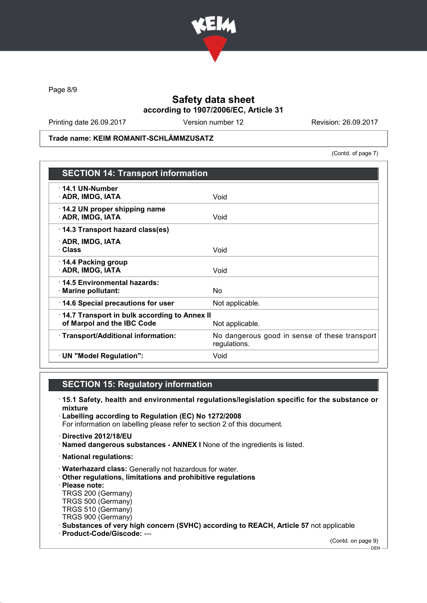

Page 8/9

# Safety data sheet according to 1907/2006/EC, Article 31

Printing date 26.09.2017 Version number 12 Revision: 26.09.2017

Trade name: KEIM ROMANIT-SCHLÄMMZUSATZ

(Contd. of page 7)

| <b>SECTION 14: Transport information</b>                                                      |                                                               |  |
|-----------------------------------------------------------------------------------------------|---------------------------------------------------------------|--|
| $\cdot$ 14.1 UN-Number<br>· ADR, IMDG, IATA                                                   | Void                                                          |  |
| 14.2 UN proper shipping name<br>· ADR, IMDG, IATA                                             | Void                                                          |  |
| 14.3 Transport hazard class(es)                                                               |                                                               |  |
| · ADR, IMDG, IATA<br>· Class                                                                  | Void                                                          |  |
| ⋅ 14.4 Packing group<br>· ADR, IMDG, IATA                                                     | Void                                                          |  |
| 14.5 Environmental hazards:<br>· Marine pollutant:                                            | No.                                                           |  |
| 14.6 Special precautions for user                                                             | Not applicable.                                               |  |
| 14.7 Transport in bulk according to Annex II<br>of Marpol and the IBC Code<br>Not applicable. |                                                               |  |
| · Transport/Additional information:                                                           | No dangerous good in sense of these transport<br>regulations. |  |
| · UN "Model Regulation":                                                                      | Void                                                          |  |

# SECTION 15: Regulatory information

- · 15.1 Safety, health and environmental regulations/legislation specific for the substance or mixture
- · Labelling according to Regulation (EC) No 1272/2008 For information on labelling please refer to section 2 of this document.
- · Directive 2012/18/EU
- · Named dangerous substances ANNEX I None of the ingredients is listed.
- · National regulations:
- · Waterhazard class: Generally not hazardous for water.
- · Other regulations, limitations and prohibitive regulations
- · Please note:
- TRGS 200 (Germany) TRGS 500 (Germany)
- TRGS 510 (Germany)
- TRGS 900 (Germany)
- · Substances of very high concern (SVHC) according to REACH, Article 57 not applicable
- · Product-Code/Giscode: ---

(Contd. on page 9)

 $-$  DEN  $-$